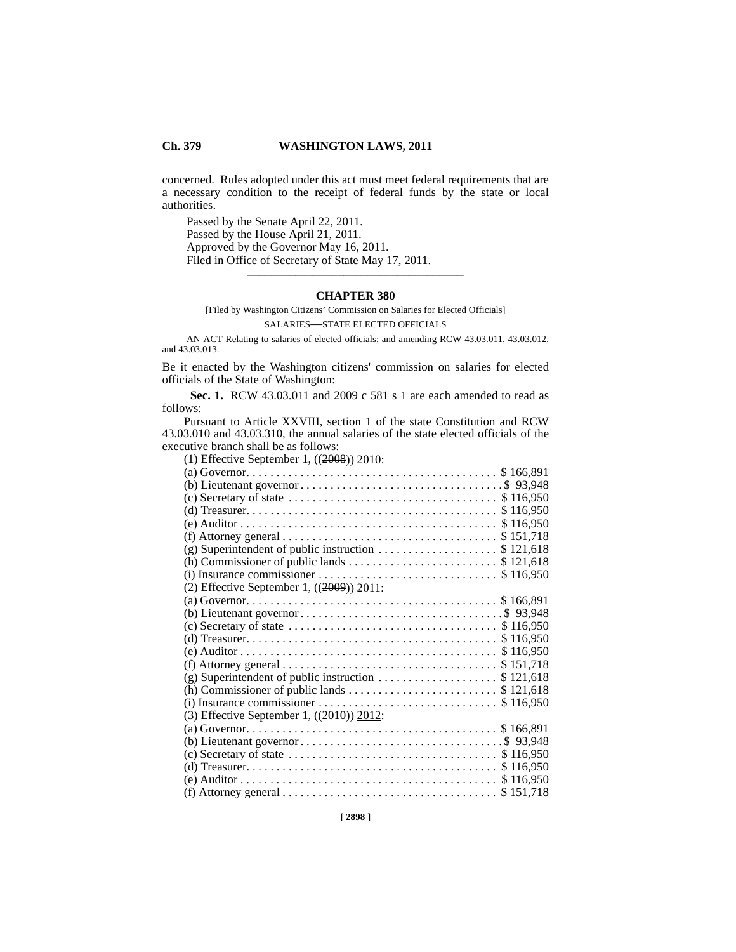## **Ch. 379 WASHINGTON LAWS, 2011**

concerned. Rules adopted under this act must meet federal requirements that are a necessary condition to the receipt of federal funds by the state or local authorities.

Passed by the Senate April 22, 2011. Passed by the House April 21, 2011. Approved by the Governor May 16, 2011. Filed in Office of Secretary of State May 17, 2011. \_\_\_\_\_\_\_\_\_\_\_\_\_\_\_\_\_\_\_\_\_\_\_\_\_\_\_\_\_\_\_\_\_\_\_\_

## **CHAPTER 380**

[Filed by Washington Citizens' Commission on Salaries for Elected Officials] SALARIES—STATE ELECTED OFFICIALS

<sup>380</sup> AN ACT Relating to salaries of elected officials; and amending RCW 43.03.011, 43.03.012, and 43.03.013.

Be it enacted by the Washington citizens' commission on salaries for elected officials of the State of Washington:

 **Sec. 1.** RCW 43.03.011 and 2009 c 581 s 1 are each amended to read as follows:

Pursuant to Article XXVIII, section 1 of the state Constitution and RCW 43.03.010 and 43.03.310, the annual salaries of the state elected officials of the executive branch shall be as follows:

(1) Effective September 1, ((2008)) 2010:

| (c) Secretary of state $\dots \dots \dots \dots \dots \dots \dots \dots \dots \dots \dots$ \$ 116,950   |
|---------------------------------------------------------------------------------------------------------|
|                                                                                                         |
|                                                                                                         |
|                                                                                                         |
| (g) Superintendent of public instruction $\dots\dots\dots\dots\dots\dots$ \$121,618                     |
|                                                                                                         |
|                                                                                                         |
| (2) Effective September 1, $((2009))$ 2011:                                                             |
|                                                                                                         |
|                                                                                                         |
| (c) Secretary of state $\dots \dots \dots \dots \dots \dots \dots \dots \dots \dots \dots$ \$116,950    |
|                                                                                                         |
|                                                                                                         |
| (f) Attorney general $\ldots \ldots \ldots \ldots \ldots \ldots \ldots \ldots \ldots \ldots$ \$ 151,718 |
| (g) Superintendent of public instruction $\ldots \ldots \ldots \ldots \ldots$ \$121,618                 |
|                                                                                                         |
|                                                                                                         |
| (3) Effective September 1, $((2010))$ 2012:                                                             |
|                                                                                                         |
|                                                                                                         |
| (c) Secretary of state $\dots \dots \dots \dots \dots \dots \dots \dots \dots \dots \dots$ \$116,950    |
|                                                                                                         |
|                                                                                                         |
|                                                                                                         |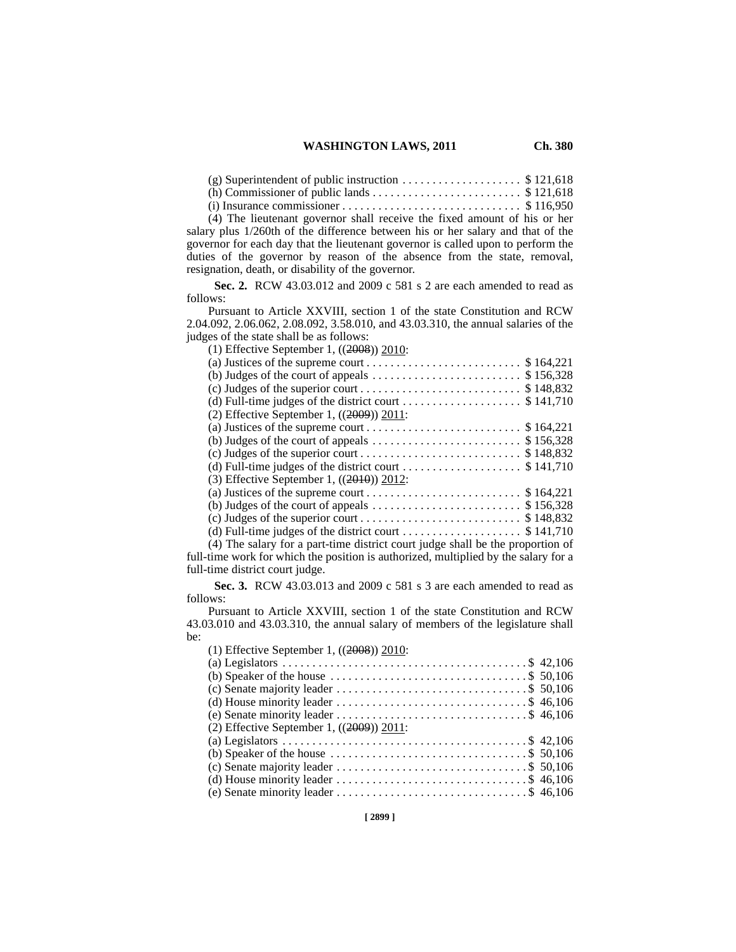## **WASHINGTON LAWS, 2011 Ch. 380**

(g) Superintendent of public instruction  $\dots \dots \dots \dots \dots$  \$ 121,618

(h) Commissioner of public lands . . . . . . . . . . . . . . . . . . . . . . . . . \$ 121,618

 $(i)$  Insurance commissioner  $\dots \dots \dots \dots \dots \dots \dots \dots \dots$  \$ 116,950

(4) The lieutenant governor shall receive the fixed amount of his or her salary plus 1/260th of the difference between his or her salary and that of the governor for each day that the lieutenant governor is called upon to perform the duties of the governor by reason of the absence from the state, removal, resignation, death, or disability of the governor.

 **Sec. 2.** RCW 43.03.012 and 2009 c 581 s 2 are each amended to read as follows:

Pursuant to Article XXVIII, section 1 of the state Constitution and RCW 2.04.092, 2.06.062, 2.08.092, 3.58.010, and 43.03.310, the annual salaries of the judges of the state shall be as follows:

| (1) Effective September 1, $((2008))$ 2010:                                              |
|------------------------------------------------------------------------------------------|
|                                                                                          |
| (b) Judges of the court of appeals $\dots \dots \dots \dots \dots \dots \dots$ \$156,328 |
|                                                                                          |
|                                                                                          |
| (2) Effective September 1, $((2009))$ 2011:                                              |
|                                                                                          |
| (b) Judges of the court of appeals $\dots \dots \dots \dots \dots \dots \dots$ \$156,328 |
|                                                                                          |
|                                                                                          |
| (3) Effective September 1, $((2010))$ 2012:                                              |
|                                                                                          |
| (b) Judges of the court of appeals $\dots \dots \dots \dots \dots \dots \dots$ \$156,328 |
|                                                                                          |
|                                                                                          |
|                                                                                          |

(4) The salary for a part-time district court judge shall be the proportion of full-time work for which the position is authorized, multiplied by the salary for a full-time district court judge.

 **Sec. 3.** RCW 43.03.013 and 2009 c 581 s 3 are each amended to read as follows:

Pursuant to Article XXVIII, section 1 of the state Constitution and RCW 43.03.010 and 43.03.310, the annual salary of members of the legislature shall be:  $(1)$  Effective September 1,  $((2008))$  2010:

| (b) Speaker of the house $\dots \dots \dots \dots \dots \dots \dots \dots \dots \dots \dots$ \$ 50,106 |
|--------------------------------------------------------------------------------------------------------|
|                                                                                                        |
|                                                                                                        |
|                                                                                                        |
|                                                                                                        |
|                                                                                                        |
| (b) Speaker of the house $\dots \dots \dots \dots \dots \dots \dots \dots \dots \dots$ \$ 50,106       |
|                                                                                                        |
|                                                                                                        |
|                                                                                                        |
|                                                                                                        |